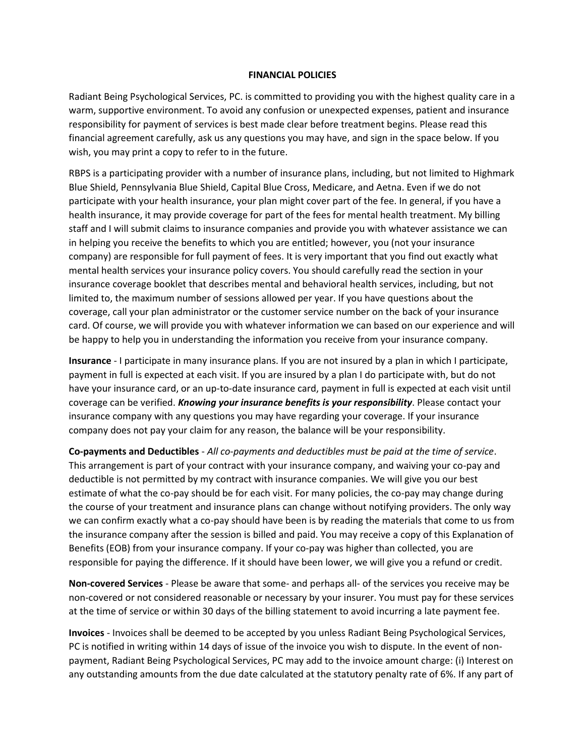## **FINANCIAL POLICIES**

Radiant Being Psychological Services, PC. is committed to providing you with the highest quality care in a warm, supportive environment. To avoid any confusion or unexpected expenses, patient and insurance responsibility for payment of services is best made clear before treatment begins. Please read this financial agreement carefully, ask us any questions you may have, and sign in the space below. If you wish, you may print a copy to refer to in the future.

RBPS is a participating provider with a number of insurance plans, including, but not limited to Highmark Blue Shield, Pennsylvania Blue Shield, Capital Blue Cross, Medicare, and Aetna. Even if we do not participate with your health insurance, your plan might cover part of the fee. In general, if you have a health insurance, it may provide coverage for part of the fees for mental health treatment. My billing staff and I will submit claims to insurance companies and provide you with whatever assistance we can in helping you receive the benefits to which you are entitled; however, you (not your insurance company) are responsible for full payment of fees. It is very important that you find out exactly what mental health services your insurance policy covers. You should carefully read the section in your insurance coverage booklet that describes mental and behavioral health services, including, but not limited to, the maximum number of sessions allowed per year. If you have questions about the coverage, call your plan administrator or the customer service number on the back of your insurance card. Of course, we will provide you with whatever information we can based on our experience and will be happy to help you in understanding the information you receive from your insurance company.

**Insurance** - I participate in many insurance plans. If you are not insured by a plan in which I participate, payment in full is expected at each visit. If you are insured by a plan I do participate with, but do not have your insurance card, or an up-to-date insurance card, payment in full is expected at each visit until coverage can be verified. *Knowing your insurance benefits is your responsibility*. Please contact your insurance company with any questions you may have regarding your coverage. If your insurance company does not pay your claim for any reason, the balance will be your responsibility.

**Co-payments and Deductibles** - *All co-payments and deductibles must be paid at the time of service*. This arrangement is part of your contract with your insurance company, and waiving your co-pay and deductible is not permitted by my contract with insurance companies. We will give you our best estimate of what the co-pay should be for each visit. For many policies, the co-pay may change during the course of your treatment and insurance plans can change without notifying providers. The only way we can confirm exactly what a co-pay should have been is by reading the materials that come to us from the insurance company after the session is billed and paid. You may receive a copy of this Explanation of Benefits (EOB) from your insurance company. If your co-pay was higher than collected, you are responsible for paying the difference. If it should have been lower, we will give you a refund or credit.

**Non-covered Services** - Please be aware that some- and perhaps all- of the services you receive may be non-covered or not considered reasonable or necessary by your insurer. You must pay for these services at the time of service or within 30 days of the billing statement to avoid incurring a late payment fee.

**Invoices** - Invoices shall be deemed to be accepted by you unless Radiant Being Psychological Services, PC is notified in writing within 14 days of issue of the invoice you wish to dispute. In the event of nonpayment, Radiant Being Psychological Services, PC may add to the invoice amount charge: (i) Interest on any outstanding amounts from the due date calculated at the statutory penalty rate of 6%. If any part of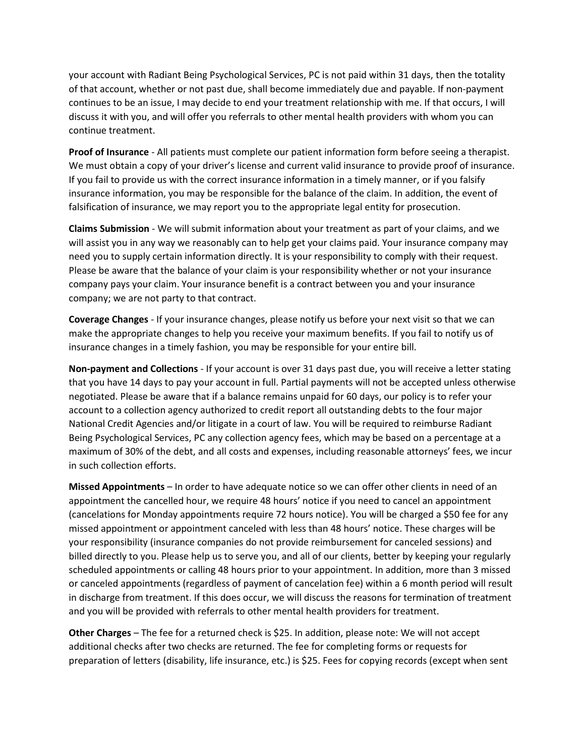your account with Radiant Being Psychological Services, PC is not paid within 31 days, then the totality of that account, whether or not past due, shall become immediately due and payable. If non-payment continues to be an issue, I may decide to end your treatment relationship with me. If that occurs, I will discuss it with you, and will offer you referrals to other mental health providers with whom you can continue treatment.

**Proof of Insurance** - All patients must complete our patient information form before seeing a therapist. We must obtain a copy of your driver's license and current valid insurance to provide proof of insurance. If you fail to provide us with the correct insurance information in a timely manner, or if you falsify insurance information, you may be responsible for the balance of the claim. In addition, the event of falsification of insurance, we may report you to the appropriate legal entity for prosecution.

**Claims Submission** - We will submit information about your treatment as part of your claims, and we will assist you in any way we reasonably can to help get your claims paid. Your insurance company may need you to supply certain information directly. It is your responsibility to comply with their request. Please be aware that the balance of your claim is your responsibility whether or not your insurance company pays your claim. Your insurance benefit is a contract between you and your insurance company; we are not party to that contract.

**Coverage Changes** - If your insurance changes, please notify us before your next visit so that we can make the appropriate changes to help you receive your maximum benefits. If you fail to notify us of insurance changes in a timely fashion, you may be responsible for your entire bill.

**Non-payment and Collections** - If your account is over 31 days past due, you will receive a letter stating that you have 14 days to pay your account in full. Partial payments will not be accepted unless otherwise negotiated. Please be aware that if a balance remains unpaid for 60 days, our policy is to refer your account to a collection agency authorized to credit report all outstanding debts to the four major National Credit Agencies and/or litigate in a court of law. You will be required to reimburse Radiant Being Psychological Services, PC any collection agency fees, which may be based on a percentage at a maximum of 30% of the debt, and all costs and expenses, including reasonable attorneys' fees, we incur in such collection efforts.

**Missed Appointments** – In order to have adequate notice so we can offer other clients in need of an appointment the cancelled hour, we require 48 hours' notice if you need to cancel an appointment (cancelations for Monday appointments require 72 hours notice). You will be charged a \$50 fee for any missed appointment or appointment canceled with less than 48 hours' notice. These charges will be your responsibility (insurance companies do not provide reimbursement for canceled sessions) and billed directly to you. Please help us to serve you, and all of our clients, better by keeping your regularly scheduled appointments or calling 48 hours prior to your appointment. In addition, more than 3 missed or canceled appointments (regardless of payment of cancelation fee) within a 6 month period will result in discharge from treatment. If this does occur, we will discuss the reasons for termination of treatment and you will be provided with referrals to other mental health providers for treatment.

**Other Charges** – The fee for a returned check is \$25. In addition, please note: We will not accept additional checks after two checks are returned. The fee for completing forms or requests for preparation of letters (disability, life insurance, etc.) is \$25. Fees for copying records (except when sent